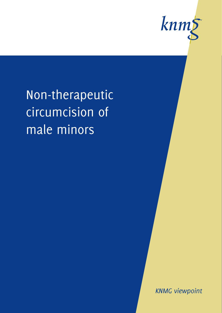

Non-therapeutic circumcision of male minors

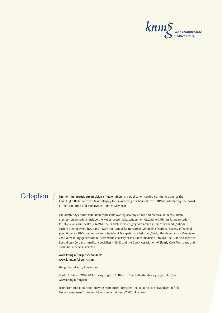

**Colophon The non-therapeutic circumcision of male minors** is a publication setting out the Position of the Koninklijke Nederlandsche Maatschappij tot bevordering der Geneeskunst (KNMG), adopted by the Board of the Federation and effective as from 27 May 2010.

> The KNMG physicians' federation represents over 53,000 physicians and medical students. KNMG member organisations include the Koepel Artsen Maatschappij en Gezondheid (Umbrella organisation for physicians and health – KAMG), the Landelijke vereniging van Artsen in Dienstverband (National society of employee physicians – LAD), the Landelijke Huisartsen Vereniging (National society of general practitioners – LHV), the Netherlands Society of Occupational Medicine (NVAB), the Nederlandse Vereniging voor Verzekeringsgeneeskunde (Netherlands society of insurance medicine – NVVG), the Orde van Medisch Specialisten (Order of medical specialists – OMS) and the Dutch Association of Elderly Care Physicians and Social Geriatricians (Verenso).

**www.knmg.nl/jongensbesnijdenis www.knmg.nl/circumcision**

*Design* buro-Lamp, Amsterdam

*Contact details KNMG* PO Box 20051, 3502 LB Utrecht, The Netherlands - +31(0)30 282 38 00 www.knmg.nl/english

Texts from this publication may be reproduced, provided the source is acknowledged in full: *The non-therapeutic circumcision of male minors, KNMG, May 2010.*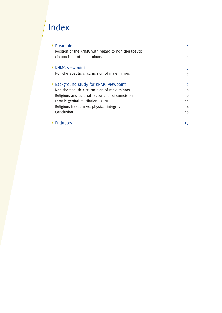# Index

 $\overline{\phantom{a}}$ 

| Preamble                                            | 4  |
|-----------------------------------------------------|----|
| Position of the KNMG with regard to non-therapeutic |    |
| circumcision of male minors                         | 4  |
| <b>KNMG</b> viewpoint                               | 5  |
| Non-therapeutic circumcision of male minors         | 5  |
| Background study for KNMG viewpoint                 | 6  |
| Non-therapeutic circumcision of male minors         | 6  |
| Religious and cultural reasons for circumcision     | 10 |
| Female genital mutilation vs. NTC                   | 11 |
| Religious freedom vs. physical integrity            | 14 |
| Conclusion                                          | 16 |
| <b>Fndnotes</b>                                     | 17 |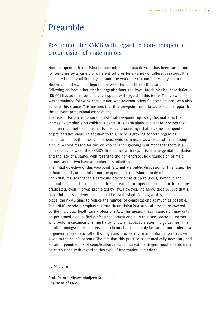## <span id="page-3-0"></span>Preamble

## Position of the KNMG with regard to non-therapeutic circumcision of male minors

Non-therapeutic circumcision of male minors is a practice that has been carried out for centuries by a variety of different cultures for a variety of different reasons. It is estimated that 13 million boys around the world are circumcised each year. In the Netherlands, the annual figure is between ten and fifteen thousand.

Following on from other medical organisations, the Royal Dutch Medical Association (KNMG) has adopted an official viewpoint with regard to this issue. This viewpoint was formulated following consultation with relevant scientific organisations, who also support this stance. This ensures that this viewpoint has a broad basis of support from the relevant professional associations.

The reason for our adoption of an official viewpoint regarding this matter is the increasing emphasis on children's rights. It is particularly relevant for doctors that children must not be subjected to medical proceedings that have no therapeutic or preventative value. In addition to this, there is growing concern regarding complications, both minor and serious, which can occur as a result of circumcising a child. A third reason for this viewpoint is the growing sentiment that there is a discrepancy between the KNMG's firm stance with regard to female genital mutilation and the lack of a stance with regard to the non-therapeutic circumcision of male minors, as the two have a number of similarities.

The initial objective of this viewpoint is to initiate public discussion of this issue. The ultimate aim is to minimise non-therapeutic circumcision of male minors. The KNMG realises that this particular practice has deep religious, symbolic and cultural meaning. For this reason, it is unrealistic to expect that this practice can be eradicated, even if it was prohibited by law. However, the KNMG does believe that a powerful policy of deterrence should be established. As long as this practice takes place, the KNMG aims to reduce the number of complications as much as possible. The KNMG therefore emphasises that circumcision is a surgical procedure covered by the Individual Healthcare Professions Act. This means that circumcision may only be performed by qualified professional practitioners, in this case, doctors. Doctors who perform circumcisions must also follow all applicable scientific guidelines. This entails, amongst other matters, that circumcisions can only be carried out under local or general anaesthetic, after thorough and precise advice and information has been given to the child's parents. The fact that this practice is not medically necessary and entails a genuine risk of complications means that extra-stringent requirements must be established with regard to this type of information and advice.

*27 May 2010*

**Prof. Dr. Arie Nieuwenhuijzen Kruseman** Chairman of KNMG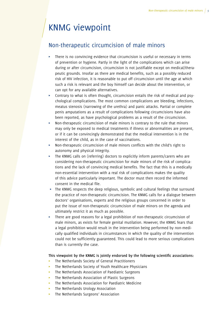## <span id="page-4-0"></span>KNMG viewpoint

## Non-therapeutic circumcision of male minors

- There is no convincing evidence that circumcision is useful or necessary in terms of prevention or hygiene. Partly in the light of the complications which can arise during or after circumcision, circumcision is not justifiable except on medical/therapeutic grounds. Insofar as there are medical benefits, such as a possibly reduced risk of HIV infection, it is reasonable to put off circumcision until the age at which such a risk is relevant and the boy himself can decide about the intervention, or can opt for any available alternatives.
- Contrary to what is often thought, circumcision entails the risk of medical and psychological complications. The most common complications are bleeding, infections, meatus stenosis (narrowing of the urethra) and panic attacks. Partial or complete penis amputations as a result of complications following circumcisions have also been reported, as have psychological problems as a result of the circumcision.
- Non-therapeutic circumcision of male minors is contrary to the rule that minors may only be exposed to medical treatments if illness or abnormalities are present, or if it can be convincingly demonstrated that the medical intervention is in the interest of the child, as in the case of vaccinations.
- π Non-therapeutic circumcision of male minors conflicts with the child's right to autonomy and physical integrity.
- $\triangleright$  The KNMG calls on (referring) doctors to explicitly inform parents/carers who are considering non-therapeutic circumcision for male minors of the risk of complications and the lack of convincing medical benefits. The fact that this is a medically non-essential intervention with a real risk of complications makes the quality of this advice particularly important. The doctor must then record the informed consent in the medical file.
- $\triangleright$  The KNMG respects the deep religious, symbolic and cultural feelings that surround the practice of non-therapeutic circumcision. The KNMG calls for a dialogue between doctors' organisations, experts and the religious groups concerned in order to put the issue of non-therapeutic circumcision of male minors on the agenda and ultimately restrict it as much as possible.
- π There are good reasons for a legal prohibition of non-therapeutic circumcision of male minors, as exists for female genital mutilation. However, the KNMG fears that a legal prohibition would result in the intervention being performed by non-medically qualified individuals in circumstances in which the quality of the intervention could not be sufficiently guaranteed. This could lead to more serious complications than is currently the case.

#### **This viewpoint by the KNMG is jointly endorsed by the following scientific associations:**

- The Netherlands Society of General Practitioners
- The Netherlands Society of Youth Healthcare Physicians
- The Netherlands Association of Paediatric Surgeons
- The Netherlands Association of Plastic Surgeons
- π The Netherlands Association for Paediatric Medicine
- The Netherlands Urology Association
- $\blacktriangleright$  The Netherlands Surgeons' Association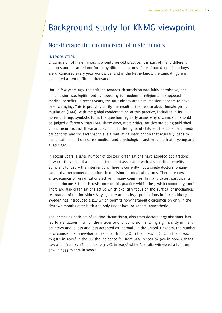## <span id="page-5-0"></span>Background study for KNMG viewpoint

### Non-therapeutic circumcision of male minors

#### introduction

Circumcision of male minors is a centuries-old practice. It is part of many different cultures and is carried out for many different reasons. An estimated 13 million boys are circumcised every year worldwide, and in the Netherlands, the annual figure is estimated at ten to fifteen thousand.

Until a few years ago, the attitude towards circumcision was fairly permissive, and circumcision was legitimised by appealing to freedom of religion and supposed medical benefits. In recent years, the attitude towards circumcision appears to have been changing. This is probably partly the result of the debate about female genital mutilation (FGM). With the global condemnation of this practice, including in its non-mutilating, symbolic form, the question regularly arises why circumcision should be judged differently than FGM. These days, more critical articles are being published about circumcision.<sup>1</sup> These articles point to the rights of children, the absence of medical benefits and the fact that this is a mutilating intervention that regularly leads to complications and can cause medical and psychological problems, both at a young and a later age.

In recent years, a large number of doctors' organisations have adopted declarations in which they state that circumcision is not associated with any medical benefits sufficient to justify the intervention. There is currently not a single doctors' organisation that recommends routine circumcision for medical reasons. There are now anti-circumcision organisations active in many countries. In many cases, participants include doctors.<sup>2</sup> There is resistance to this practice within the Jewish community, too.<sup>3</sup> There are also organisations active which explicitly focus on the surgical or mechanical restoration of the foreskin.<sup>4</sup> As yet, there are no legal prohibitions in force, although Sweden has introduced a law which permits non-therapeutic circumcision only in the first two months after birth and only under local or general anaesthetic.

The increasing criticism of routine circumcision, also from doctors' organisations, has led to a situation in which the incidence of circumcision is falling significantly in many countries and is less and less accepted as 'normal'. In the United Kingdom, the number of circumcisions in newborns has fallen from 35% in the 1930s to 6.5% in the 1980s, to 3.8% in 2000.<sup>5</sup> In the US, the incidence fell from 85% in 1965 to 56% in 2006. Canada saw a fall from 47.4% in 1973 to 31.9% in 2007, $^6$  while Australia witnessed a fall from 90% in 1955 to 12% in 2000.7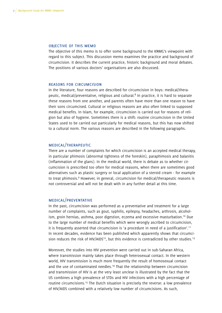#### objective of this memo

The objective of this memo is to offer some background to the KNMG's viewpoint with regard to this subject. This discussion memo examines the practice and background of circumcision. It describes the current practice, historic background and moral debates. The positions of various doctors' organisations are also discussed.

#### reasons for circumcision

In the literature, four reasons are described for circumcision in boys: medical/therapeutic, medical/preventative, religious and cultural.<sup>8</sup> In practice, it is hard to separate these reasons from one another, and parents often have more than one reason to have their sons circumcised. Cultural or religious reasons are also often linked to supposed medical benefits. In Islam, for example, circumcision is carried out for reasons of religion but also of hygiene. Sometimes there is a shift: routine circumcision in the United States used to be carried out particularly for medical reasons, but this has now shifted to a cultural norm. The various reasons are described in the following paragraphs.

### medical/therapeutic

There are a number of complaints for which circumcision is an accepted medical therapy, in particular phimosis (abnormal tightness of the foreskin), paraphimosis and balanitis (inflammation of the glans). In the medical world, there is debate as to whether circumcision is prescribed too often for medical reasons, when there are sometimes good alternatives such as plastic surgery or local application of a steroid cream - for example to treat phimosis.<sup>9</sup> However, in general, circumcision for medical/therapeutic reasons is not controversial and will not be dealt with in any further detail at this time.

#### medical/preventative

In the past, circumcision was performed as a preventative and treatment for a large number of complaints, such as gout, syphilis, epilepsy, headaches, arthrosis, alcoholism, groin hernias, asthma, poor digestion, eczema and excessive masturbation.10 Due to the large number of medical benefits which were wrongly ascribed to circumcision, it is frequently asserted that circumcision is 'a procedure in need of a justification'.11 In recent decades, evidence has been published which apparently shows that circumcision reduces the risk of HIV/AIDS<sup>12</sup>, but this evidence is contradicted by other studies.<sup>13</sup>

Moreover, the studies into HIV prevention were carried out in sub-Saharan Africa, where transmission mainly takes place through heterosexual contact. In the western world, HIV transmission is much more frequently the result of homosexual contact and the use of contaminated needles.14 That the relationship between circumcision and transmission of HIV is at the very least unclear is illustrated by the fact that the US combines a high prevalence of STDs and HIV infections with a high percentage of routine circumcisions.15 The Dutch situation is precisely the reverse: a low prevalence of HIV/AIDS combined with a relatively low number of circumcisions. As such,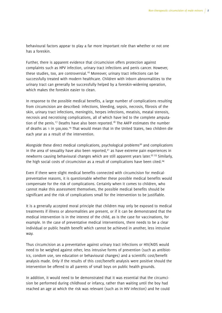behavioural factors appear to play a far more important role than whether or not one has a foreskin.

Further, there is apparent evidence that circumcision offers protection against complaints such as HPV infection, urinary tract infections and penis cancer. However, these studies, too, are controversial.<sup>16</sup> Moreover, urinary tract infections can be successfully treated with modern healthcare. Children with inborn abnormalities to the urinary tract can generally be successfully helped by a foreskin-widening operation, which makes the foreskin easier to clean.

In response to the possible medical benefits, a large number of complications resulting from circumcision are described: infections, bleeding, sepsis, necrosis, fibrosis of the skin, urinary tract infections, meningitis, herpes infections, meatisis, meatal stenosis, necrosis and necrotising complications, all of which have led to the complete amputation of the penis.<sup>17</sup> Deaths have also been reported.<sup>18</sup> The AAFP estimates the number of deaths as 1 in 500,000.19 That would mean that in the United States, two children die each year as a result of the intervention.

Alongside these direct medical complications, psychological problems<sup>20</sup> and complications in the area of sexuality have also been reported, $2<sup>1</sup>$  as have extreme pain experiences in newborns causing behavioural changes which are still apparent years later.<sup>22</sup> 23 Similarly, the high social costs of circumcision as a result of complications have been cited.<sup>24</sup>

Even if there were slight medical benefits connected with circumcision for medicalpreventative reasons, it is questionable whether these possible medical benefits would compensate for the risk of complications. Certainly when it comes to children, who cannot make this assessment themselves, the possible medical benefits should be significant and the risk of complications small for the intervention to be justifiable.

It is a generally accepted moral principle that children may only be exposed to medical treatments if illness or abnormalities are present, or if it can be demonstrated that the medical intervention is in the interest of the child, as is the case for vaccinations, for example. In the case of preventative medical interventions, there needs to be a clear individual or public health benefit which cannot be achieved in another, less intrusive way.

Thus circumcision as a preventative against urinary tract infections or HIV/AIDS would need to be weighed against other, less intrusive forms of prevention (such as antibiotics, condom use, sex education or behavioural changes) and a scientific cost/benefit analysis made. Only if the results of this cost/benefit analysis were positive should the intervention be offered to all parents of small boys on public health grounds.

In addition, it would need to be demonstrated that it was essential that the circumcision be performed during childhood or infancy, rather than waiting until the boy had reached an age at which the risk was relevant (such as in HIV infection) and he could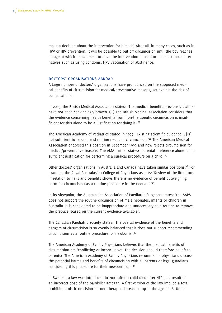make a decision about the intervention for himself. After all, in many cases, such as in HPV or HIV prevention, it will be possible to put off circumcision until the boy reaches an age at which he can elect to have the intervention himself or instead choose alternatives such as using condoms, HPV vaccination or abstinence.

#### doctors' organisations abroad

A large number of doctors' organisations have pronounced on the supposed medical benefits of circumcision for medical/preventative reasons, set against the risk of complications.

In 2003, the British Medical Association stated: 'The medical benefits previously claimed have not been convincingly proven. (…) The British Medical Association considers that the evidence concerning health benefits from non-therapeutic circumcision is insufficient for this alone to be a justification for doing it.'25

The American Academy of Pediatrics stated in 1999: 'Existing scientific evidence … [is] not sufficient to recommend routine neonatal circumcision.<sup>'26</sup> The American Medical Association endorsed this position in December 1999 and now rejects circumcision for medical/preventative reasons. The AMA further states: 'parental preference alone is not sufficient justification for performing a surgical procedure on a child'.<sup>27</sup>

Other doctors' organisations in Australia and Canada have taken similar positions.<sup>28</sup> For example, the Royal Australasian College of Physicians asserts: 'Review of the literature in relation to risks and benefits shows there is no evidence of benefit outweighing harm for circumcision as a routine procedure in the neonate.<sup>'29</sup>

In its viewpoint, the Australasian Association of Paediatric Surgeons states: 'the AAPS does not support the routine circumcision of male neonates, infants or children in Australia. It is considered to be inappropriate and unnecessary as a routine to remove the prepuce, based on the current evidence available'.

The Canadian Paediatric Society states: 'The overall evidence of the benefits and dangers of circumcision is so evenly balanced that it does not support recommending circumcision as a routine procedure for newborns'.30

The American Academy of Family Physicians believes that the medical benefits of circumcision are 'conflicting or inconclusive'. The decision should therefore be left to parents: 'The American Academy of Family Physicians recommends physicians discuss the potential harms and benefits of circumcision with all parents or legal guardians considering this procedure for their newborn son'.31

In Sweden, a law was introduced in 2001 after a child died after NTC as a result of an incorrect dose of the painkiller Ketogan. A first version of the law implied a total prohibition of circumcision for non-therapeutic reasons up to the age of 18. Under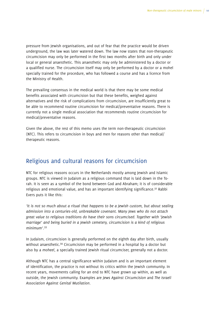<span id="page-9-0"></span>pressure from Jewish organisations, and out of fear that the practice would be driven underground, the law was later watered down. The law now states that non-therapeutic circumcision may only be performed in the first two months after birth and only under local or general anaesthetic. This anaesthetic may only be administered by a doctor or a qualified nurse. The circumcision itself may only be performed by a doctor or a mohel specially trained for the procedure, who has followed a course and has a licence from the Ministry of Health.

The prevailing consensus in the medical world is that there may be some medical benefits associated with circumcision but that these benefits, weighed against alternatives and the risk of complications from circumcision, are insufficiently great to be able to recommend routine circumcision for medical/preventative reasons. There is currently not a single medical association that recommends routine circumcision for medical/preventative reasons.

Given the above, the rest of this memo uses the term non-therapeutic circumcision (NTC). This refers to circumcision in boys and men for reasons other than medical/ therapeutic reasons.

### Religious and cultural reasons for circumcision

NTC for religious reasons occurs in the Netherlands mostly among Jewish and Islamic groups. NTC is viewed in Judaism as a religious command that is laid down in the Torah. It is seen as a symbol of the bond between God and Abraham; it is of considerable religious and emotional value, and has an important identifying significance.<sup>32</sup> Rabbi Evers puts it like this:

*'It is not so much about a ritual that happens to be a Jewish custom, but about sealing admission into a centuries-old, unbreakable covenant. Many Jews who do not attach great value to religious traditions do have their sons circumcised. Together with 'Jewish marriage' and being buried in a Jewish cemetery, circumcision is a kind of religious minimum'.*<sup>33</sup>

In Judaism, circumcision is generally performed on the eighth day after birth, usually without anaesthetic.<sup>34</sup> Circumcision may be performed in a hospital by a doctor but also by a *moheel*, a specially trained Jewish ritual circumciser, generally not a doctor.

Although NTC has a central significance within Judaism and is an important element of identification, the practice is not without its critics within the Jewish community. In recent years, movements calling for an end to NTC have grown up within, as well as outside, the Jewish community. Examples are *Jews Against Circumcision* and *The Israeli Association Against Genital Mutilation*.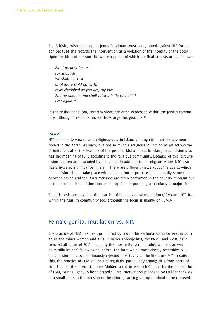<span id="page-10-0"></span>The British Jewish philosopher Jenny Goodman consciously opted against NTC for her son because she regards the intervention as a violation of the integrity of the body. Upon the birth of her son she wrote a poem, of which the final stanzas are as follows:

*All of us pray for rest For Sabbath We shall not rest Until every child on earth Is as cherished as you are, my love And no one, no one shall raise a knife to a child Ever again* <sup>35</sup>

In the Netherlands, too, contrary views are often expressed within the Jewish community, although it remains unclear how large this group is. $36$ 

#### islam

NTC is similarly viewed as a religious duty in Islam, although it is not literally mentioned in the Koran. As such, it is not so much a religious injunction as an act worthy of imitation, after the example of the prophet Mohammed. In Islam, circumcision also has the meaning of fully acceding to the religious community. Because of this, circumcision is often accompanied by festivities. In addition to its religious value, NTC also has a hygienic significance in Islam. There are different views about the age at which circumcision should take place within Islam, but in practice it is generally some time between seven and ten. Circumcisions are often performed in the country of origin but also in special circumcision centres set up for the purpose, particularly in major cities.

There is resistance against the practice of female genital mutilation (FGM) and NTC from within the Muslim community too, although the focus is mainly on FGM.<sup>37</sup>

### Female genital mutilation vs. NTC

The practice of FGM has been prohibited by law in the Netherlands since 1993 in both adult and minor women and girls. In various viewpoints, the KNMG and NVOG have rejected all forms of FGM, including the most mild form, in adult women, as well as reinfibulation<sup>38</sup> following childbirth. The form which most closely resembles NTC, circumcision, is also unanimously rejected in virtually all the literature.<sup>39 40</sup> In spite of this, the practice of FGM still occurs regularly, particularly among girls from North Africa. This led the internist Jannes Mulder to call in Medisch Contact for the mildest form of FGM, 'sunna light', to be tolerated.41 This intervention proposed by Mulder consists of a small prick in the foreskin of the clitoris, causing a drop of blood to be released.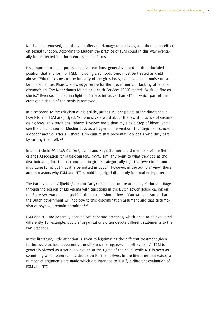No tissue is removed, and the girl suffers no damage to her body, and there is no effect on sexual function. According to Mulder, the practice of FGM could in this way eventually be redirected into innocent, symbolic forms.

His proposal attracted purely negative reactions, generally based on the principled position that any form of FGM, including a symbolic one, must be treated as child abuse. "When it comes to the integrity of the girl's body, no single compromise must be made", states Pharos, knowledge centre for the prevention and tackling of female circumcision. The Netherlands Municipal Health Services (GGD) stated: "A girl is fine as she is." Even so, this 'sunna light' is far less intrusive than NTC, in which part of the erotogenic tissue of the penis is removed.

In a response to the criticism of his article, Jannes Mulder points to the difference in how NTC and FGM are judged: 'No one says a word about the Jewish practice of circumcising boys. This traditional 'abuse' involves more than my single drop of blood. Some see the circumcision of Muslim boys as a hygienic intervention. That argument conceals a deeper motive. After all, there is no culture that preventatively deals with dirty ears by cutting them off.'42

In an article in *Medisch Contact*, Karim and Hage (former board members of the Netherlands Association for Plastic Surgery, NVPC) similarly point to what they see as the discriminating fact that circumcision in girls is categorically rejected (even in its nonmutilating form) but that it is permitted in boys.43 However, in the authors' view, there are no reasons why FGM and NTC should be judged differently in moral or legal terms.

The Partij voor de Vrijheid (Freedom Party) responded to the article by Karim and Hage through the person of Ms Agema with questions in the Dutch Lower House calling on the State Secretary not to prohibit the circumcision of boys. 'Can we be assured that the Dutch government will not bow to this discrimination argument and that circumcision of boys will remain permitted?<sup>44</sup>

FGM and NTC are generally seen as two separate practices, which need to be evaluated differently. For example, doctors' organisations often devote different statements to the two practices.

In the literature, little attention is given to legitimating the different treatment given to the two practices: apparently the difference is regarded as self-evident.<sup>45</sup> FGM is generally viewed as a serious violation of the rights of the child, while NTC is seen as something which parents may decide on for themselves. In the literature that exists, a number of arguments are made which are intended to justify a different evaluation of FGM and NTC.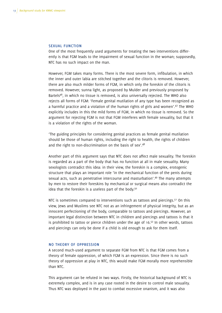#### sexual function

One of the most frequently used arguments for treating the two interventions differently is that FGM leads to the impairment of sexual function in the woman; supposedly, NTC has no such impact on the man.

However, FGM takes many forms. There is the most severe form, infibulation, in which the inner and outer labia are stitched together and the clitoris is removed. However, there are also much milder forms of FGM, in which only the foreskin of the clitoris is removed. However, sunna light, as proposed by Mulder and previously proposed by Bartels46, in which no tissue is removed, is also universally rejected. The WHO also rejects all forms of FGM: 'Female genital mutilation of any type has been recognized as a harmful practice and a violation of the human rights of girls and women'.47 The WHO explicitly includes in this the mild forms of FGM, in which no tissue is removed. So the argument for rejecting FGM is not that FGM interferes with female sexuality, but that it is a violation of the rights of the woman.

'The guiding principles for considering genital practices as female genital mutilation should be those of human rights, including the right to health, the rights of children and the right to non-discrimination on the basis of sex'.<sup>48</sup>

Another part of this argument says that NTC does not affect male sexuality. The foreskin is regarded as a part of the body that has no function at all in male sexuality. Many sexologists contradict this idea: in their view, the foreskin is a complex, erotogenic structure that plays an important role 'in the mechanical function of the penis during sexual acts, such as penetrative intercourse and masturbation'.49 The many attempts by men to restore their foreskins by mechanical or surgical means also contradict the idea that the foreskin is a useless part of the body.<sup>50</sup>

NTC is sometimes compared to interventions such as tattoos and piercings.<sup>51</sup> On this view, Jews and Muslims see NTC not as an infringement of physical integrity, but as an innocent perfectioning of the body, comparable to tattoos and piercings. However, an important legal distinction between NTC in children and piercings and tattoos is that it is prohibited to tattoo or pierce children under the age of  $16.52$  In other words, tattoos and piercings can only be done if a child is old enough to ask for them itself.

#### no theory of oppression

A second much-used argument to separate FGM from NTC is that FGM comes from a theory of female oppression, of which FGM is an expression. Since there is no such theory of oppression at play in NTC, this would make FGM morally more reprehensible than NTC.

This argument can be refuted in two ways. Firstly, the historical background of NTC is extremely complex, and is in any case rooted in the desire to control male sexuality. Thus NTC was deployed in the past to combat excessive onanism, and it was also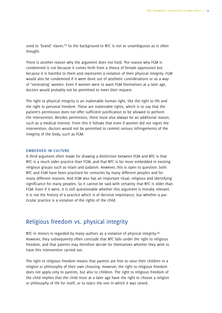<span id="page-13-0"></span>used to 'brand' slaves.<sup>53</sup> So the background to NTC is not as unambiguous as is often thought.

There is another reason why the argument does not hold. The reason why FGM is condemned is not because it comes forth from a theory of female oppression but because it is harmful to them and represents a violation of their physical integrity. FGM would also be condemned if it were done out of aesthetic considerations or as a way of 'venerating' women. Even if women were to want FGM themselves at a later age, doctors would probably not be permitted to meet their request.

The right to physical integrity is an inalienable human right, like the right to life and the right to personal freedom. These are inalienable rights, which is to say that the patient's permission does not offer sufficient justification to be allowed to perform the intervention. Besides permission, there must also always be an additional reason, such as a medical interest. From this it follows that even if women did not regret the intervention, doctors would not be permitted to commit serious infringements of the integrity of the body, such as FGM.

#### embedded in culture

A third argument often made for drawing a distinction between FGM and NTC is that NTC is a much older practice than FGM, and that NTC is far more embedded in existing religious groups such as Islam and Judaism. However, this is open to question: both NTC and FGM have been practised for centuries by many different peoples and for many different reasons. And FGM also has an important ritual, religious and identifying significance for many peoples. So it cannot be said with certainty that NTC is older than FGM. Even if it were, it is still questionable whether this argument is morally relevant. It is not the history of a practice which is of decisive importance, but whether a particular practice is a violation of the rights of the child.

### Religious freedom vs. physical integrity

NTC in minors is regarded by many authors as a violation of physical integrity.<sup>54</sup> However, they subsequently often conclude that NTC falls under the right to religious freedom, and that parents may therefore decide for themselves whether they wish to have this intervention carried out.

The right to religious freedom means that parents are free to raise their children in a religion or philosophy of their own choosing. However, the right to religious freedom does not apply only to parents, but also to children. The right to religious freedom of the child implies that the child must at a later age have the right to choose a religion or philosophy of life for itself, or to reject the one in which it was raised.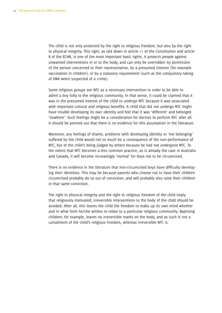The child is not only protected by the right to religious freedom, but also by the right to physical integrity. This right, as laid down in article 11 of the Constitution and article 8 of the ECHR, is one of the most important basic rights. It protects people against unwanted interventions in or to the body, and can only be overridden by permission of the person concerned or their representative, by a presumed interest (for example vaccination in children), or by a statutory requirement (such as the compulsory taking of DNA when suspected of a crime).

Some religious groups see NTC as a necessary intervention in order to be able to admit a boy fully to the religious community. In that sense, it could be claimed that it was in the presumed interest of the child to undergo NTC because it was associated with important cultural and religious benefits. A child that did not undergo NTC might have trouble developing its own identity and feel that it was 'different' and belonged 'nowhere'. Such feelings might be a consideration for doctors to perform NTC after all. It should be pointed out that there is no evidence for this assumption in the literature.

Moreover, any feelings of shame, problems with developing identity or 'not belonging' suffered by the child would not so much be a consequence of the non-performance of NTC, but of the child's being judged by others because he had not undergone NTC. To the extent that NTC becomes a less common practice, as is already the case in Australia and Canada, it will become increasingly 'normal' for boys not to be circumcised.

There is no evidence in the literature that non-circumcised boys have difficulty developing their identities. This may be because parents who choose not to have their children circumcised probably do so out of conviction, and will probably also raise their children in that same conviction.

The right to physical integrity and the right to religious freedom of the child imply that religiously motivated, irreversible interventions to the body of the child should be avoided. After all, this leaves the child the freedom to make up its own mind whether and in what form he/she wishes to relate to a particular religious community. Baptising children, for example, leaves no irreversible marks on the body, and as such is not a curtailment of the child's religious freedom, whereas irreversible NTC is.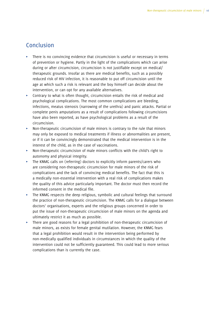## <span id="page-15-0"></span>Conclusion

- $\triangleright$  There is no convincing evidence that circumcision is useful or necessary in terms of prevention or hygiene. Partly in the light of the complications which can arise during or after circumcision, circumcision is not justifiable except on medical/ therapeutic grounds. Insofar as there are medical benefits, such as a possibly reduced risk of HIV infection, it is reasonable to put off circumcision until the age at which such a risk is relevant and the boy himself can decide about the intervention, or can opt for any available alternatives.
- Contrary to what is often thought, circumcision entails the risk of medical and psychological complications. The most common complications are bleeding, infections, meatus stenosis (narrowing of the urethra) and panic attacks. Partial or complete penis amputations as a result of complications following circumcisions have also been reported, as have psychological problems as a result of the circumcision.
- Non-therapeutic circumcision of male minors is contrary to the rule that minors may only be exposed to medical treatments if illness or abnormalities are present, or if it can be convincingly demonstrated that the medical intervention is in the interest of the child, as in the case of vaccinations.
- Non-therapeutic circumcision of male minors conflicts with the child's right to autonomy and physical integrity.
- $\triangleright$  The KNMG calls on (referring) doctors to explicitly inform parents/carers who are considering non-therapeutic circumcision for male minors of the risk of complications and the lack of convincing medical benefits. The fact that this is a medically non-essential intervention with a real risk of complications makes the quality of this advice particularly important. The doctor must then record the informed consent in the medical file.
- $\triangleright$  The KNMG respects the deep religious, symbolic and cultural feelings that surround the practice of non-therapeutic circumcision. The KNMG calls for a dialogue between doctors' organisations, experts and the religious groups concerned in order to put the issue of non-therapeutic circumcision of male minors on the agenda and ultimately restrict it as much as possible.
- $\triangleright$  There are good reasons for a legal prohibition of non-therapeutic circumcision of male minors, as exists for female genital mutilation. However, the KNMG fears that a legal prohibition would result in the intervention being performed by non-medically qualified individuals in circumstances in which the quality of the intervention could not be sufficiently guaranteed. This could lead to more serious complications than is currently the case.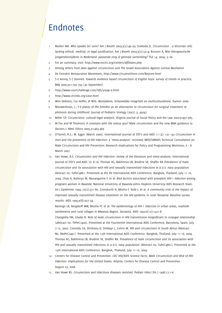## <span id="page-16-0"></span>Endnotes

- 1 Mullen MA. *Who speaks for sons?* Am J Bioeth 2003;3(2):49–50; Svoboda JS. *Circumcision a Victorian relic lacking ethical, medical, or legal justification*. Am J Bioeth 2003;3(2):52–4; Ruissen A, *Niet-therapeutische jongensbesnijdenis in Nederland: passende zorg of genitale verminking?* TGE 14, 2004; 3: 66
- 2 For an summary, visit: *http://www.nocirc.org/centers/affiliates.php*
- 3 Among others from *Jews against circumcision* and *The Israeli Association Against Genital Mutilation*
- 4 De Foreskin Restauration Movement, *http://www.circumstitions.com/Restore.html*
- 5 S E Kenny, S C Donnell. *Towards evidence based circumcision of English boys: survey of trends in practice*, BMJ 2000;321:792-793 (30 September)
- 6 *http://www.courtchallenge.com/refs/yr99p-e.html*
- 7 *http://www.circinfo.org/case.html*
- 8 Wim Dekkers, Cor Hoffer, JP Wils. *Besnijdenis, lichamelijke integriteit en multiculturalisme.* Damon 2006.
- 9 Nieuwenhuijs, J.; *Y-V plasty of the foreskin as an alternative to circumcision for surgical treatment of phimosis during childhood.* Journal of Pediatric Urology (2007) 3, 45e47
- 10 Miller GP. *Circumcision: cultural-legal analysis.* Virginia Journal of Social Policy and the Law 2002;9:497–585.
- 11 M Fox and M Thomson; *A covenant with the status quo?* Male circumcision and the new BMA guidance to doctors J. Med. Ethics 2005;31;463-469
- 12 O'Farrell, R.S.; M. Egger (March 2000). *International Journal of STD's and AIDS* 11 (3): 137-142 *Circumcision in men and the prevention of HIV infection*: a 'meta-analysis' revisited; WHO/UNAIDS Technical Consultation on Male Circumcision and HIV Prevention: Research Implications for Policy and Programming Montreux, 6 - 8 March 2007
- 13 Van Howe, R.S. *Circumcision and HIV infection: review of the literature and meta-analysis.* International Journal of STD's and AIDS 10: 8–16; Thomas AG, Bakhireva LN, Brodine SK, Shaffer RA *Prevalence of male circumcision and its association with HIV and sexually transmitted infections in a U.S. navy population.* Abstract no. TuPeC4861. Presented at the XV International AIDS Conference, Bangkok, Thailand, July 11-16, 2004. Chao A, Bulterys M, Musanganire F, et al. *Risk factors associated with prevalent HIV-1 infection among pregnant women in Rwanda.* National University of Rwanda-Johns Hopkins University AIDS Research Team. Int J Epidemiol 1994; 23(2):371-80. Grosskurth H, Mosha F, Todd J, et al. *A community trial of the impact of improved sexually transmitted disease treatment on the HIV epidemic in rural Tanzania: Baseline survey results.* AIDS 1995;9(8):927-34.

Barongo LR, Borgdorff MW, Mosha FF, et al. *The epidemiology of HIV-1 infection in urban areas, roadside settlements and rural villages in Mwanza Region, Tanzania.* AIDS 1992;6(12):1521-8.

Changedia SM, Gilada IS. *Role of male circumcision in HIV transmission insignificant in conjugal relationship*  (abstract no. ThPeC7420). Presented at the Fourteenth International AIDS Conference, Barcelona, Spain, July 7-12, 2002. Connolly CA, Shishana O, Simbayi L, Colvin M. *HIV and circumcision in South Africa* (Abstract No. MoPeC3491). Presented at the 15th International AIDS Conference, Bangkok, Thailand, July 11-16, 2004. Thomas AG, Bakhireva LN, Brodine SK, Shaffer RA. *Prevalence of male circumcision and its association with HIV and sexually transmitted infections in a U.S. navy population* (Abstract no. TuPeC4861). Presented at the 15th International AIDS Conference, Bangkok, Thailand, July 11-16, 2004

- 14 Centers for Disease Control and Prevention. *CDC HIV/AIDS Science Facts: Male Circumcision and Risk of HIV Infection: Implications for the United States.* Atlanta: Centers for Disease Control and Prevention. August 23, 2006
- 15 Van Howe RS. *Circumcision and infectious diseases revisited.* Pediatr Infect Dis J 1998;17:1–6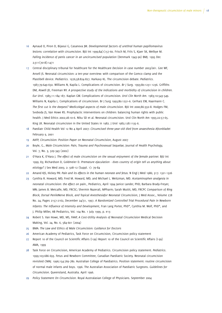- 16 Aynaud O, Piron D, Bijaoui G, Casanova JM. *Developmental factors of urethral human papillomavirus lesions: correlation with circumcision.* BJU Int 1999;84(1):57-60. Frisch M, Friis S, Kjaer SK, Melbye M. *Falling incidence of penis cancer in an uncircumcised population* (Denmark 1943-90) BMJ. 1995 Dec 2;311(7018):1471
- 17 Central disciplinary tribunal for healthcare for the Healthcare *Decision in case number 2003/061.* Gee WF, Ansell JS. Neonatal circumcision: a ten-year overview: with comparison of the Gomco clamp and the Plastibell device. *Pediatrics*. 1976;58:824-827. Harkavy KL. The circumcision debate. *Pediatrics*. 1987;79:649-650. Williams N, Kapila L. Complications of circumcision. *Br J Surg*. 1993;80:1231-1236. Griffiths DM, Atwell JD, Freeman NY. *A prospective study of the indications and morbidity of circumcision in children. Eur Urol*. 1985;11:184-187. Kaplan GW. Complications of circumcision. *Urol Clin North Am*. 1983;10:543-549. Williams N, Kapila L. Complications of circumcision. Br J Surg 1993;80:1231–6. Gerharz EW, Haarmann C. *The first cut is the deepest? Medicolegal aspects of male circumcision.* BJU Int 2000;86:332–8. Hodges FM, Svoboda JS, Van Howe RS. Prophylactic interventions on children: balancing human rights with public health. J Med Ethics 2002;28:10–6. Niku SD et al. Neonatal circumcision. Urol Clin North Am 1995;22:57-65. King LR. Neonatal circumcision in the United States in 1982. J Urol 1982;128:1135-6.
- 18 Paediatr Child Health Vol 12 No 4 April 2007: *Circumcised three-year-old died from anaesthesia Aftonbladet* February 9, 2001
- 19 AAFP, *Circumcision: Position Paper on Neonatal Circumcision*, August 2007
- 20 Boyle, G., *Male Circumcision: Pain, Trauma and Psychosexual Sequelae*, Journal of Health Psychology, Vol. 7, No. 3, 329-343 (2002)
- 21 O'Hara K, O'Hara J. *The effect of male circumcision on the sexual enjoyment of the female partner.* BJU Int 1999; 83; Richardson D, Goldmeier D. *Premature ejaculation - does country of origin tell us anything about etiology?* J Sex Med 2005; 2: 508–12 (Suppl. 1): 79–84
- 22 Amand KJS, Hickey PR: *Pain and its effects in the human neonate and fetus.* N Engl J Med 1986; 317: 1321-1326
- 23 Cynthia R. Howard, MD; Fred M. Howard, MD; and Michael L. Weitzman, MD. *Acetaminophen analgesia in neonatal circumcision: the effect on pain.*, Pediatrics, April 1994 Janice Lander, PhD; Barbara Brady-Freyer, MN; James B. Metcalfe, MD, FRCSC; Shermin Nazerali, MPharm; Sarah Muttit, MD, FRCPC *Comparison of Ring Block, Dorsal PenileNerve Block, and Topical Anesthesiafor Neonatal Circumcision*, J Med Assoc., Volume 278 No. 24, Pages 2157-2162, December 24/31, 1997. *A Randomized Controlled Trial Procedural Pain in Newborn Infants: The Influence of Intensity and Development*, Fran Lang Porter, PhD\*, Cynthia M. Wolf, PhD\*, and J. Philip Miller, AB Pediatrics, Vol. 104 No. 1 July 1999, p. e13
- 24 Robert S. Van Howe, MD, MS, FAAP, *A Cost-Utility Analysis of Neonatal Circumcision* Medical Decision Making, Vol. 24, No. 6, 584-601 (2004)
- 25 BMA: *The Law and Ethics of Male Circumcision: Guidance for Doctors*
- 26 American Academy of Pediatrics, Task Force on Circumcision, Circumcision policy statement
- 27 Report 10 of the Council on Scientific Affairs (I-99) Report 10 of the Council on Scientific Affairs (I-99) AMA, 1999
- 28 Task Force on Circumcision, American Academy of Pediatrics. Circumcision policy statement. *Pediatrics*. 1999;103:686-693. Fetus and Newborn Committee, Canadian Paediatric Society. Neonatal circumcision revisited *CMAJ*. 1996;154:769-780. Australian College of Paediatrics. Position statement: routine circumcision of normal male infants and boys. 1996. The Australian Association of Paediatric Surgeons. *Guidelines for Circumcision*. Queensland, Australia. April 1996.
- 29 *Policy Statement On Circumcision*. Royal Australasian College of Physicians. September 2004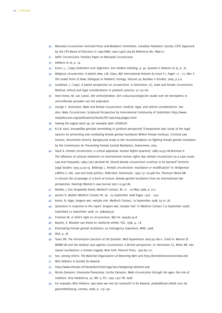- 30 Neonatal circumcision revisited Fetus and Newborn Committee, Canadian Paediatric Society (CPS) Approved by the CPS Board of Directors in 1996,CMAJ 1996;154(6):769-80 Reference No. FN96-01
- 31 AAFP, Circumcision: Position Paper on Neonatal Circumcision
- 32 Dekkers et al, p. 74
- 33 Evers, L., (1999) *Jodendom voor beginners. Een heldere inleiding.* p. 40. Quoted in Dekkers et al, p. 76
- 34 *Religious circumcision: A Jewish view*, J.M. Glass, BJU International Volume 83 Issue S1, Pages 17 21; Mor Y, *The Israeli Point of View, Dialogues in Pediatric Urology*, Volume 30, Number 6 October, 2009, p 5-6
- 35 Goodman, J. (1999), *A jewish perspective on circumcision.* In Denniston, GC, male and female circumcision. Medical, ethical and legal considerations in pediatric practice. p.179-182
- 36 Veen-Vietor, M. van (2000), *Het verbondsteken*. Een cultuursociologische studie over de besnijdenis in verschillende perioden van het jodendom
- 37 George C. Denniston, *Male and female circumcision: medical, legal, and ethical considerations.* See also: Male Circumcision: Scriptural Perspective by International Community of Submitters *http://www. masjidtucson.org/publications/books/SP/1996/may/page2.html*
- 38 *Sewing the vagina back up, for example after childbirth*
- 39 R.S.B. Kool, *Vrouwelijke genitale verminking in juridisch perspectief (*Comparative law*)* study of the legal options for preventing and combating female genital mutilation Willem Pompe Instituut, Criminal Law Section, Universiteit Utrecht, Background study to the recommendation on fighting female genital mutilation by the Commission for Preventing Female Genital Mutilation, Zoetermeer, 2005
- 40 Slack A. *Female circumcision: a critical appraisal.* Human Rights Quarterly 1988;10:437–86.Brennan K. *The influence of cultural relativism on international human rights law: female circumcision as a case study.* Law and Inequality 1989;7:367–98.Atoki M. *Should female circumcision continue to be banned?* Feminist Legal Studies 1995;3:223–35. Bibbings L. *Female circumcision: mutilation or modification?* In: Bridgeman J,Millns S, eds. *Law and body politics.* Aldershot: Dartmouth, 1995:151–70.468 Fox, Thomson Wood AN. *A cultural rite of passage or a form of torture: female genital mutilation from an international law perspective.* Hastings Women's Law Journal 2001;12:347–86
- 41 Mulder, J, *Een druppeltje bloed*, Medisch Contact, Nr. 21 20 May 2008, p. 912
- 42 Jannes H. *Mulder Medisch Contact* Nr. 36 03 September 2008 Pages 1476 1477
- 43 Karim, B, Hage, *Jongens wel, meisjes niet.* Medisch Contact, 19 September 2008, 63 nr. 38
- 44 Questions in response to the report *'Jongens wel, meisjes niet'* in Medisch Contact (19 September 2008). Submitted 22 September 2008, nr. 2080900570
- 45 Freeman M. *A child's right to circumcision.* BJU Int 1999;83:74–8
- 46 Bartels, E, *Rituelen van bloed en medische ethiek*, TGE, 1998, 4, 1-8
- 47 Eliminating Female genital mutilation: an interagency statement, WHO, 2008
- 48 Ibid, p. 28
- 49 Taves DR. *The intromission function of the foreskin.* Med Hypotheses 2002;59:180–2. Cited in: Warren JP. *NORM UK and the medical case against circumcision: a British perspective.* In: Denniston GC, Milos MF, eds. *Sexual mutilations: a human tragedy.* New York: Plenum Press, 1997:85–101
- 50 See, among others: *The National Organization of Restoring Men* and *http://foreskinrestorationchat.info*
- 51 Wim Dekkers in bundel *De Kwestie*
- 52 *http://www.minvws.nl/nieuwsberichten/vgp/2007/wetgeving-tatoeren.asp*
- 53 Nicola Zampieri, Emanuela Pianezzola, Cecilia Zampieri, *Male circumcision through the ages: the role of tradition.* Acta Pædiatrica, 97, NO: 9, PG: 1305-1307 YR: 2008
- 54 For example: Wim Dekkers, wat doen we met de voorhuid? In *De kwestie, praktijkboek ethiek voor de gezondheidszorg.* Lemma, 2008, p. 125-130